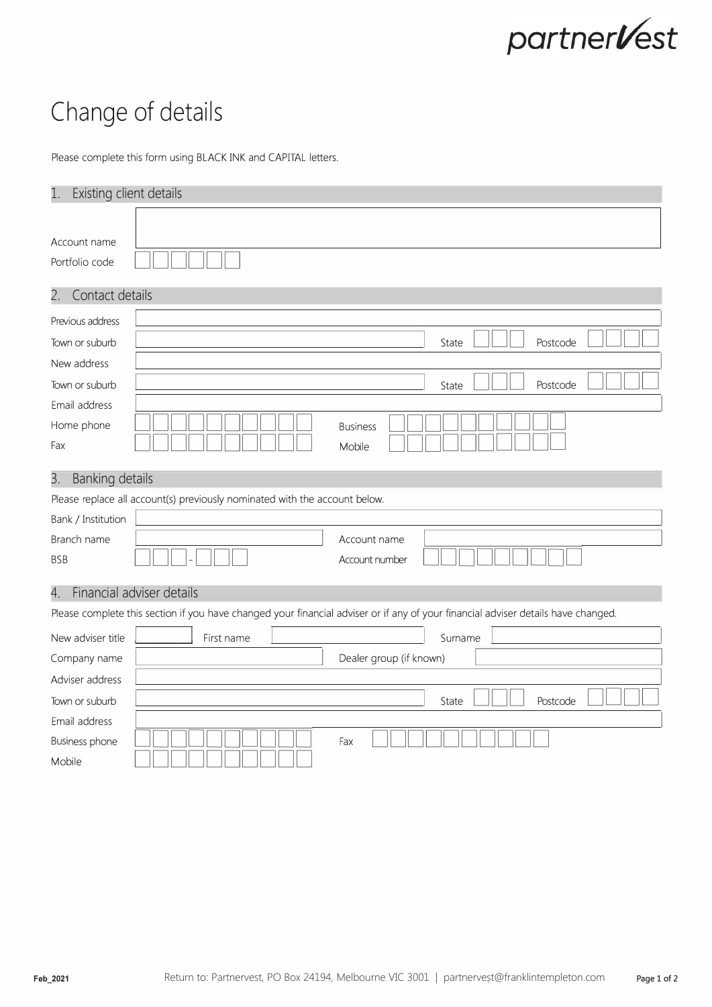

## **Change of details**

Please complete this form using BLACK INK and CAPITAL letters.

| Existing client details<br>1.                                                                                                     |                                                                            |
|-----------------------------------------------------------------------------------------------------------------------------------|----------------------------------------------------------------------------|
| Account name<br>Portfolio code                                                                                                    |                                                                            |
| Contact details<br>2.                                                                                                             |                                                                            |
| Previous address                                                                                                                  |                                                                            |
| Town or suburb                                                                                                                    | State<br>Postcode                                                          |
| New address                                                                                                                       |                                                                            |
| Town or suburb                                                                                                                    | Postcode<br>State                                                          |
| Email address                                                                                                                     |                                                                            |
| Home phone                                                                                                                        | <b>Business</b>                                                            |
| Fax                                                                                                                               | Mobile                                                                     |
| <b>Banking details</b><br>З.                                                                                                      |                                                                            |
|                                                                                                                                   | Please replace all account(s) previously nominated with the account below. |
| Bank / Institution                                                                                                                |                                                                            |
| Branch name                                                                                                                       | Account name                                                               |
| <b>BSB</b>                                                                                                                        | Account number                                                             |
| Financial adviser details<br>4.                                                                                                   |                                                                            |
| Please complete this section if you have changed your financial adviser or if any of your financial adviser details have changed. |                                                                            |
| New adviser title                                                                                                                 | Surname<br>First name                                                      |
| Company name                                                                                                                      | Dealer group (if known)                                                    |
| Adviser address                                                                                                                   |                                                                            |
| Town or suburb                                                                                                                    | State<br>Postcode                                                          |
| Email address                                                                                                                     |                                                                            |
| Business phone                                                                                                                    | Fax                                                                        |
| Mobile                                                                                                                            |                                                                            |